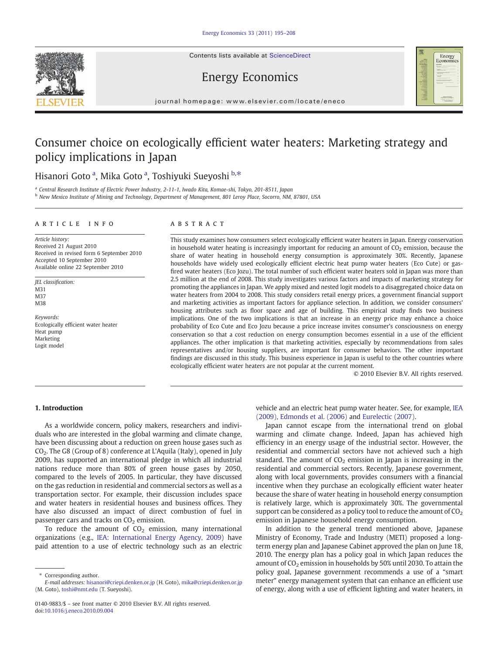Contents lists available at ScienceDirect







journal homepage: www.elsevier.com/locate/eneco

## Consumer choice on ecologically efficient water heaters: Marketing strategy and policy implications in Japan

## Hisanori Goto <sup>a</sup>, Mika Goto <sup>a</sup>, Toshiyuki Sueyoshi <sup>b,\*</sup>

<sup>a</sup> Central Research Institute of Electric Power Industry, 2-11-1, Iwado Kita, Komae-shi, Tokyo, 201-8511, Japan

<sup>b</sup> New Mexico Institute of Mining and Technology, Department of Management, 801 Leroy Place, Socorro, NM, 87801, USA

### article info abstract

Article history: Received 21 August 2010 Received in revised form 6 September 2010 Accepted 10 September 2010 Available online 22 September 2010

JEL classification: M31 M37 M38

Keywords: Ecologically efficient water heater Heat pump Marketing Logit model

This study examines how consumers select ecologically efficient water heaters in Japan. Energy conservation in household water heating is increasingly important for reducing an amount of  $CO<sub>2</sub>$  emission, because the share of water heating in household energy consumption is approximately 30%. Recently, Japanese households have widely used ecologically efficient electric heat pump water heaters (Eco Cute) or gasfired water heaters (Eco Jozu). The total number of such efficient water heaters sold in Japan was more than 2.5 million at the end of 2008. This study investigates various factors and impacts of marketing strategy for promoting the appliances in Japan. We apply mixed and nested logit models to a disaggregated choice data on water heaters from 2004 to 2008. This study considers retail energy prices, a government financial support and marketing activities as important factors for appliance selection. In addition, we consider consumers' housing attributes such as floor space and age of building. This empirical study finds two business implications. One of the two implications is that an increase in an energy price may enhance a choice probability of Eco Cute and Eco Jozu because a price increase invites consumer's consciousness on energy conservation so that a cost reduction on energy consumption becomes essential in a use of the efficient appliances. The other implication is that marketing activities, especially by recommendations from sales representatives and/or housing suppliers, are important for consumer behaviors. The other important findings are discussed in this study. This business experience in Japan is useful to the other countries where ecologically efficient water heaters are not popular at the current moment.

© 2010 Elsevier B.V. All rights reserved.

### 1. Introduction

As a worldwide concern, policy makers, researchers and individuals who are interested in the global warming and climate change, have been discussing about a reduction on green house gases such as CO2. The G8 (Group of 8) conference at L'Aquila (Italy), opened in July 2009, has supported an international pledge in which all industrial nations reduce more than 80% of green house gases by 2050, compared to the levels of 2005. In particular, they have discussed on the gas reduction in residential and commercial sectors as well as a transportation sector. For example, their discussion includes space and water heaters in residential houses and business offices. They have also discussed an impact of direct combustion of fuel in passenger cars and tracks on  $CO<sub>2</sub>$  emission.

To reduce the amount of  $CO<sub>2</sub>$  emission, many international organizations (e.g., [IEA: International Energy Agency, 2009](#page--1-0)) have paid attention to a use of electric technology such as an electric

Corresponding author.

vehicle and an electric heat pump water heater. See, for example, [IEA](#page--1-0) [\(2009\), Edmonds et al. \(2006\)](#page--1-0) and [Eurelectic \(2007\)](http://www.eurelectric.org/Antwerp2007/).

Japan cannot escape from the international trend on global warming and climate change. Indeed, Japan has achieved high efficiency in an energy usage of the industrial sector. However, the residential and commercial sectors have not achieved such a high standard. The amount of  $CO<sub>2</sub>$  emission in Japan is increasing in the residential and commercial sectors. Recently, Japanese government, along with local governments, provides consumers with a financial incentive when they purchase an ecologically efficient water heater because the share of water heating in household energy consumption is relatively large, which is approximately 30%. The governmental support can be considered as a policy tool to reduce the amount of  $CO<sub>2</sub>$ emission in Japanese household energy consumption.

In addition to the general trend mentioned above, Japanese Ministry of Economy, Trade and Industry (METI) proposed a longterm energy plan and Japanese Cabinet approved the plan on June 18, 2010. The energy plan has a policy goal in which Japan reduces the amount of  $CO<sub>2</sub>$  emission in households by 50% until 2030. To attain the policy goal, Japanese government recommends a use of a "smart meter" energy management system that can enhance an efficient use of energy, along with a use of efficient lighting and water heaters, in

E-mail addresses: [hisanori@criepi.denken.or.jp](mailto:hisanori@criepi.denken.or.jp) (H. Goto), [mika@criepi.denken.or.jp](mailto:mika@criepi.denken.or.jp) (M. Goto), [toshi@nmt.edu](mailto:toshi@nmt.edu) (T. Sueyoshi).

<sup>0140-9883/\$</sup> – see front matter © 2010 Elsevier B.V. All rights reserved. doi:[10.1016/j.eneco.2010.09.004](http://dx.doi.org/10.1016/j.eneco.2010.09.004)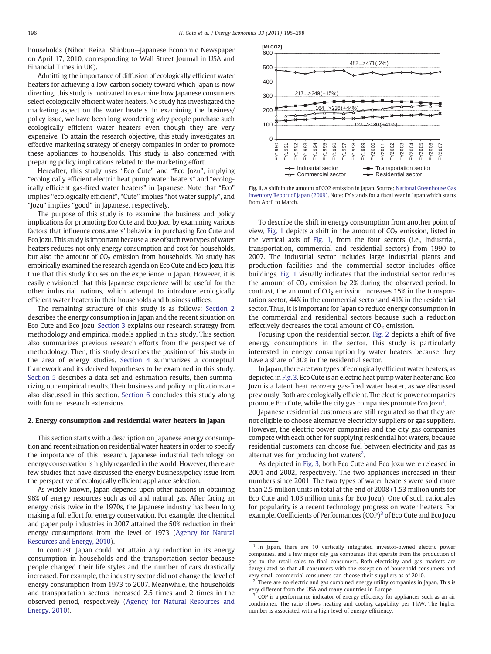households (Nihon Keizai Shinbun—Japanese Economic Newspaper on April 17, 2010, corresponding to Wall Street Journal in USA and Financial Times in UK).

Admitting the importance of diffusion of ecologically efficient water heaters for achieving a low-carbon society toward which Japan is now directing, this study is motivated to examine how Japanese consumers select ecologically efficient water heaters. No study has investigated the marketing aspect on the water heaters. In examining the business/ policy issue, we have been long wondering why people purchase such ecologically efficient water heaters even though they are very expensive. To attain the research objective, this study investigates an effective marketing strategy of energy companies in order to promote these appliances to households. This study is also concerned with preparing policy implications related to the marketing effort.

Hereafter, this study uses "Eco Cute" and "Eco Jozu", implying "ecologically efficient electric heat pump water heaters" and "ecologically efficient gas-fired water heaters" in Japanese. Note that "Eco" implies "ecologically efficient", "Cute" implies "hot water supply", and "Jozu" implies "good" in Japanese, respectively.

The purpose of this study is to examine the business and policy implications for promoting Eco Cute and Eco Jozu by examining various factors that influence consumers' behavior in purchasing Eco Cute and Eco Jozu. This study is important because a use of such two types of water heaters reduces not only energy consumption and cost for households, but also the amount of  $CO<sub>2</sub>$  emission from households. No study has empirically examined the research agenda on Eco Cute and Eco Jozu. It is true that this study focuses on the experience in Japan. However, it is easily envisioned that this Japanese experience will be useful for the other industrial nations, which attempt to introduce ecologically efficient water heaters in their households and business offices.

The remaining structure of this study is as follows: Section 2 describes the energy consumption in Japan and the recent situation on Eco Cute and Eco Jozu. [Section 3](#page--1-0) explains our research strategy from methodology and empirical models applied in this study. This section also summarizes previous research efforts from the perspective of methodology. Then, this study describes the position of this study in the area of energy studies. [Section 4](#page--1-0) summarizes a conceptual framework and its derived hypotheses to be examined in this study. [Section 5](#page--1-0) describes a data set and estimation results, then summarizing our empirical results. Their business and policy implications are also discussed in this section. [Section 6](#page--1-0) concludes this study along with future research extensions.

### 2. Energy consumption and residential water heaters in Japan

This section starts with a description on Japanese energy consumption and recent situation on residential water heaters in order to specify the importance of this research. Japanese industrial technology on energy conservation is highly regarded in the world. However, there are few studies that have discussed the energy business/policy issue from the perspective of ecologically efficient appliance selection.

As widely known, Japan depends upon other nations in obtaining 96% of energy resources such as oil and natural gas. After facing an energy crisis twice in the 1970s, the Japanese industry has been long making a full effort for energy conservation. For example, the chemical and paper pulp industries in 2007 attained the 50% reduction in their energy consumptions from the level of 1973 [\(Agency for Natural](#page--1-0) [Resources and Energy, 2010\)](#page--1-0).

In contrast, Japan could not attain any reduction in its energy consumption in households and the transportation sector because people changed their life styles and the number of cars drastically increased. For example, the industry sector did not change the level of energy consumption from 1973 to 2007. Meanwhile, the households and transportation sectors increased 2.5 times and 2 times in the observed period, respectively [\(Agency for Natural Resources and](#page--1-0) [Energy, 2010](#page--1-0)).



Fig. 1. A shift in the amount of CO2 emission in Japan. Source: [National Greenhouse Gas](#page--1-0) [Inventory Report of Japan \(2009\).](#page--1-0) Note: FY stands for a fiscal year in Japan which starts from April to March.

To describe the shift in energy consumption from another point of view, Fig. 1 depicts a shift in the amount of  $CO<sub>2</sub>$  emission, listed in the vertical axis of Fig. 1, from the four sectors (i.e., industrial, transportation, commercial and residential sectors) from 1990 to 2007. The industrial sector includes large industrial plants and production facilities and the commercial sector includes office buildings. Fig. 1 visually indicates that the industrial sector reduces the amount of  $CO<sub>2</sub>$  emission by 2% during the observed period. In contrast, the amount of  $CO<sub>2</sub>$  emission increases 15% in the transportation sector, 44% in the commercial sector and 41% in the residential sector. Thus, it is important for Japan to reduce energy consumption in the commercial and residential sectors because such a reduction effectively decreases the total amount of  $CO<sub>2</sub>$  emission.

Focusing upon the residential sector, [Fig. 2](#page--1-0) depicts a shift of five energy consumptions in the sector. This study is particularly interested in energy consumption by water heaters because they have a share of 30% in the residential sector.

In Japan, there are two types of ecologically efficient water heaters, as depicted in [Fig. 3](#page--1-0). Eco Cute is an electric heat pump water heater and Eco Jozu is a latent heat recovery gas-fired water heater, as we discussed previously. Both are ecologically efficient. The electric power companies promote Eco Cute, while the city gas companies promote Eco Jozu<sup>1</sup>.

Japanese residential customers are still regulated so that they are not eligible to choose alternative electricity suppliers or gas suppliers. However, the electric power companies and the city gas companies compete with each other for supplying residential hot waters, because residential customers can choose fuel between electricity and gas as alternatives for producing hot waters<sup>2</sup>.

As depicted in [Fig. 3](#page--1-0), both Eco Cute and Eco Jozu were released in 2001 and 2002, respectively. The two appliances increased in their numbers since 2001. The two types of water heaters were sold more than 2.5 million units in total at the end of 2008 (1.53 million units for Eco Cute and 1.03 million units for Eco Jozu). One of such rationales for popularity is a recent technology progress on water heaters. For example, Coefficients of Performances  $(COP)^3$  of Eco Cute and Eco Jozu

 $1$  In Japan, there are 10 vertically integrated investor-owned electric power companies, and a few major city gas companies that operate from the production of gas to the retail sales to final consumers. Both electricity and gas markets are deregulated so that all consumers with the exception of household consumers and very small commercial consumers can choose their suppliers as of 2010.

 $2$  There are no electric and gas combined energy utility companies in Japan. This is very different from the USA and many countries in Europe.

COP is a performance indicator of energy efficiency for appliances such as an air conditioner. The ratio shows heating and cooling capability per 1 kW. The higher number is associated with a high level of energy efficiency.